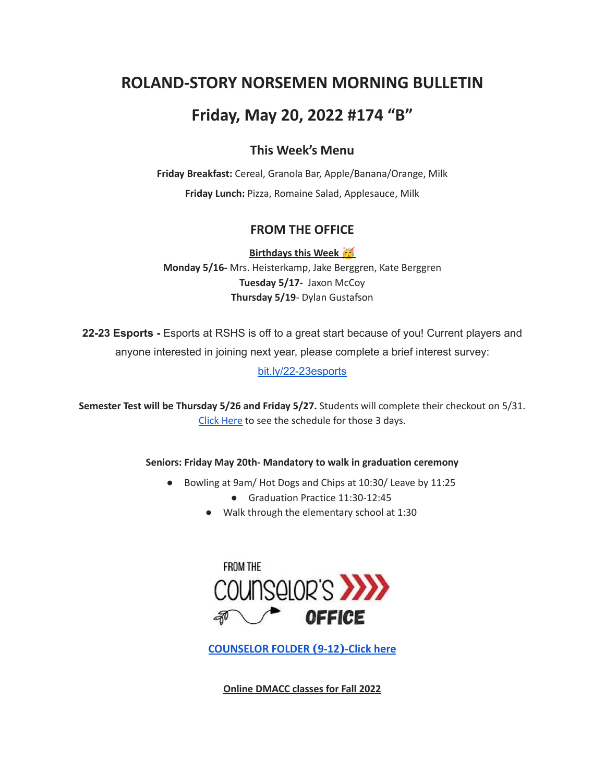# **ROLAND-STORY NORSEMEN MORNING BULLETIN**

## **Friday, May 20, 2022 #174 "B"**

## **This Week's Menu**

**Friday Breakfast:** Cereal, Granola Bar, Apple/Banana/Orange, Milk **Friday Lunch:** Pizza, Romaine Salad, Applesauce, Milk

### **FROM THE OFFICE**

**Birthdays this Week Monday 5/16-** Mrs. Heisterkamp, Jake Berggren, Kate Berggren **Tuesday 5/17-** Jaxon McCoy **Thursday 5/19**- Dylan Gustafson

**22-23 Esports -** Esports at RSHS is off to a great start because of you! Current players and anyone interested in joining next year, please complete a brief interest survey:

[bit.ly/22-23esports](http://bit.ly/22-23esports)

**Semester Test will be Thursday 5/26 and Friday 5/27.** Students will complete their checkout on 5/31. Click [Here](https://drive.google.com/file/d/1f_W_f9rcsywnweiwi6fCuPDOMZBp9ou-/view?usp=sharing) to see the schedule for those 3 days.

#### **Seniors: Friday May 20th- Mandatory to walk in graduation ceremony**

- Bowling at 9am/ Hot Dogs and Chips at 10:30/ Leave by 11:25
	- Graduation Practice 11:30-12:45
	- Walk through the elementary school at 1:30



**[COUNSELOR FOLDER](https://docs.google.com/document/d/1vmwczNPbDzXe9vFaG5LJMQ7NYDv-i4oQJHybqA65TUc/edit?usp=sharing) (9-12)-Click here**

**Online DMACC classes for Fall 2022**